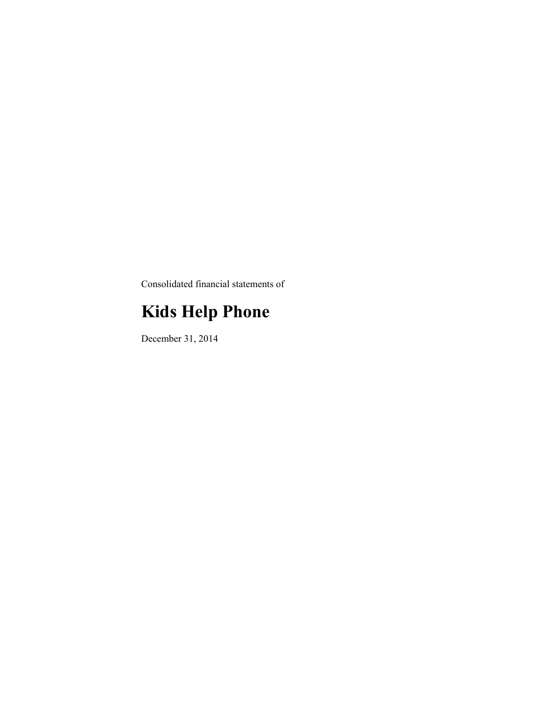Consolidated financial statements of

# **Kids Help Phone**

December 31, 2014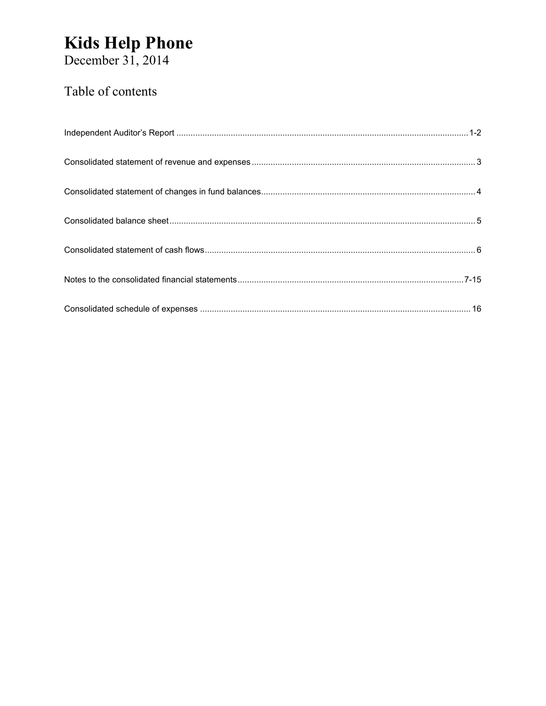# Kids Help Phone<br>December 31, 2014

### Table of contents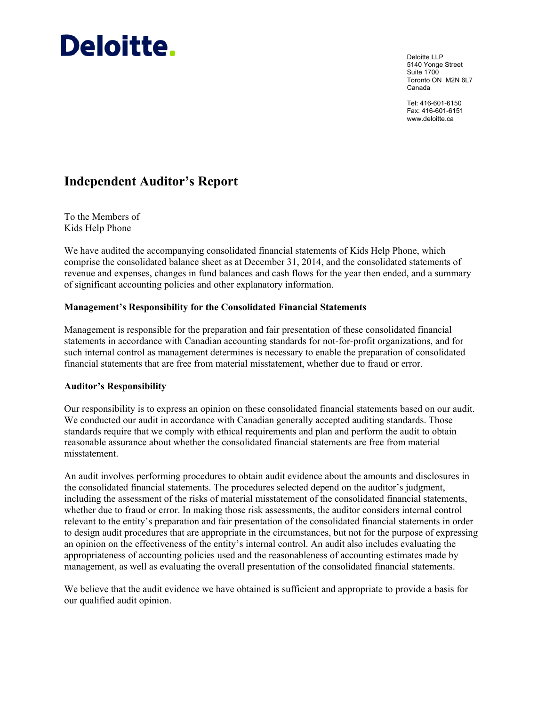# Deloitte.

Deloitte LLP 5140 Yonge Street Suite 1700 Toronto ON M2N 6L7 Canada

Tel: 416-601-6150 Fax: 416-601-6151 www.deloitte.ca

### **Independent Auditor's Report**

To the Members of Kids Help Phone

We have audited the accompanying consolidated financial statements of Kids Help Phone, which comprise the consolidated balance sheet as at December 31, 2014, and the consolidated statements of revenue and expenses, changes in fund balances and cash flows for the year then ended, and a summary of significant accounting policies and other explanatory information.

#### **Management's Responsibility for the Consolidated Financial Statements**

Management is responsible for the preparation and fair presentation of these consolidated financial statements in accordance with Canadian accounting standards for not-for-profit organizations, and for such internal control as management determines is necessary to enable the preparation of consolidated financial statements that are free from material misstatement, whether due to fraud or error.

#### **Auditor's Responsibility**

Our responsibility is to express an opinion on these consolidated financial statements based on our audit. We conducted our audit in accordance with Canadian generally accepted auditing standards. Those standards require that we comply with ethical requirements and plan and perform the audit to obtain reasonable assurance about whether the consolidated financial statements are free from material misstatement.

An audit involves performing procedures to obtain audit evidence about the amounts and disclosures in the consolidated financial statements. The procedures selected depend on the auditor's judgment, including the assessment of the risks of material misstatement of the consolidated financial statements, whether due to fraud or error. In making those risk assessments, the auditor considers internal control relevant to the entity's preparation and fair presentation of the consolidated financial statements in order to design audit procedures that are appropriate in the circumstances, but not for the purpose of expressing an opinion on the effectiveness of the entity's internal control. An audit also includes evaluating the appropriateness of accounting policies used and the reasonableness of accounting estimates made by management, as well as evaluating the overall presentation of the consolidated financial statements.

We believe that the audit evidence we have obtained is sufficient and appropriate to provide a basis for our qualified audit opinion.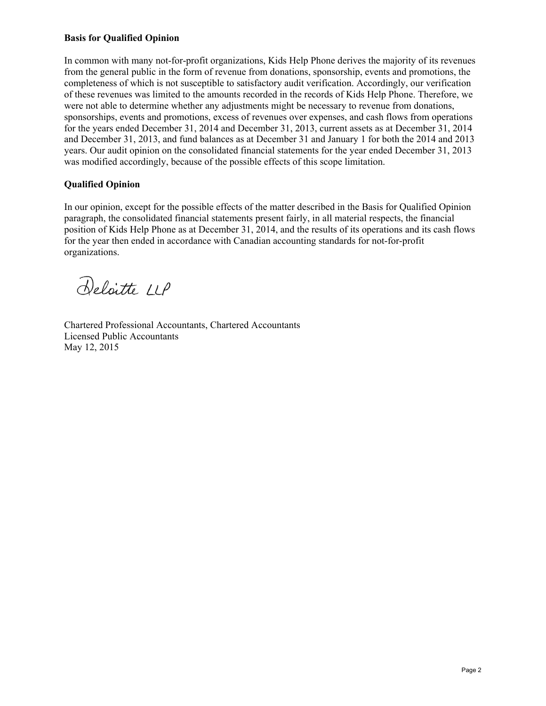#### **Basis for Qualified Opinion**

In common with many not-for-profit organizations, Kids Help Phone derives the majority of its revenues from the general public in the form of revenue from donations, sponsorship, events and promotions, the completeness of which is not susceptible to satisfactory audit verification. Accordingly, our verification of these revenues was limited to the amounts recorded in the records of Kids Help Phone. Therefore, we were not able to determine whether any adjustments might be necessary to revenue from donations, sponsorships, events and promotions, excess of revenues over expenses, and cash flows from operations for the years ended December 31, 2014 and December 31, 2013, current assets as at December 31, 2014 and December 31, 2013, and fund balances as at December 31 and January 1 for both the 2014 and 2013 years. Our audit opinion on the consolidated financial statements for the year ended December 31, 2013 was modified accordingly, because of the possible effects of this scope limitation.

#### **Qualified Opinion**

In our opinion, except for the possible effects of the matter described in the Basis for Qualified Opinion paragraph, the consolidated financial statements present fairly, in all material respects, the financial position of Kids Help Phone as at December 31, 2014, and the results of its operations and its cash flows for the year then ended in accordance with Canadian accounting standards for not-for-profit organizations.

Deloitte LLP

Chartered Professional Accountants, Chartered Accountants Licensed Public Accountants May 12, 2015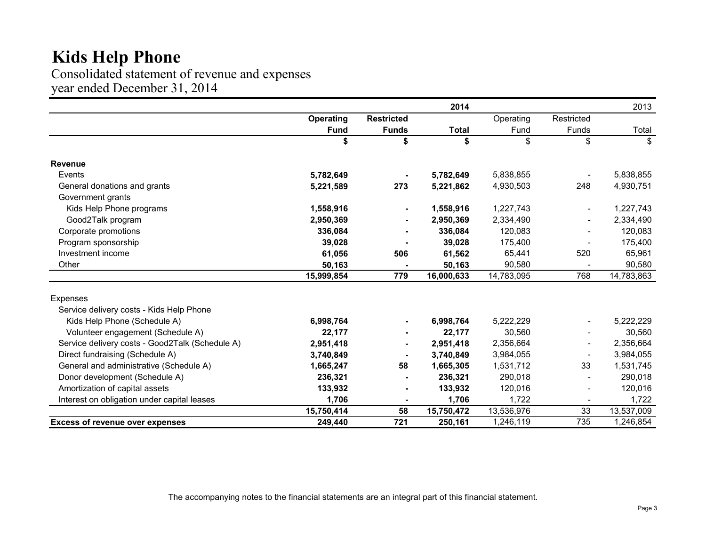Consolidated statement of revenue and expenses year ended December 31, 2014

|                                                 |             |                   | 2014         |            |                          | 2013       |
|-------------------------------------------------|-------------|-------------------|--------------|------------|--------------------------|------------|
|                                                 | Operating   | <b>Restricted</b> |              | Operating  | Restricted               |            |
|                                                 | <b>Fund</b> | <b>Funds</b>      | <b>Total</b> | Fund       | Funds                    | Total      |
|                                                 | \$          | \$                | \$           | \$         | \$                       | \$         |
| Revenue                                         |             |                   |              |            |                          |            |
| Events                                          | 5,782,649   | $\blacksquare$    | 5,782,649    | 5,838,855  | $\overline{\phantom{a}}$ | 5,838,855  |
| General donations and grants                    | 5,221,589   | 273               | 5,221,862    | 4,930,503  | 248                      | 4,930,751  |
| Government grants                               |             |                   |              |            |                          |            |
| Kids Help Phone programs                        | 1,558,916   |                   | 1,558,916    | 1,227,743  |                          | 1,227,743  |
| Good2Talk program                               | 2,950,369   |                   | 2,950,369    | 2,334,490  | $\blacksquare$           | 2,334,490  |
| Corporate promotions                            | 336,084     |                   | 336,084      | 120,083    |                          | 120,083    |
| Program sponsorship                             | 39,028      |                   | 39,028       | 175,400    |                          | 175,400    |
| Investment income                               | 61,056      | 506               | 61,562       | 65,441     | 520                      | 65,961     |
| Other                                           | 50,163      |                   | 50,163       | 90,580     |                          | 90,580     |
|                                                 | 15,999,854  | 779               | 16,000,633   | 14,783,095 | 768                      | 14,783,863 |
| Expenses                                        |             |                   |              |            |                          |            |
| Service delivery costs - Kids Help Phone        |             |                   |              |            |                          |            |
| Kids Help Phone (Schedule A)                    | 6,998,764   |                   | 6,998,764    | 5,222,229  | $\overline{\phantom{a}}$ | 5,222,229  |
| Volunteer engagement (Schedule A)               | 22,177      |                   | 22,177       | 30,560     |                          | 30,560     |
| Service delivery costs - Good2Talk (Schedule A) | 2,951,418   |                   | 2,951,418    | 2,356,664  | $\blacksquare$           | 2,356,664  |
| Direct fundraising (Schedule A)                 | 3,740,849   | $\blacksquare$    | 3,740,849    | 3,984,055  | $\overline{\phantom{a}}$ | 3,984,055  |
| General and administrative (Schedule A)         | 1,665,247   | 58                | 1,665,305    | 1,531,712  | 33                       | 1,531,745  |
| Donor development (Schedule A)                  | 236,321     |                   | 236,321      | 290,018    | $\overline{\phantom{a}}$ | 290,018    |
| Amortization of capital assets                  | 133,932     | ۰                 | 133,932      | 120,016    |                          | 120,016    |
| Interest on obligation under capital leases     | 1,706       | $\blacksquare$    | 1,706        | 1,722      |                          | 1,722      |
|                                                 | 15,750,414  | 58                | 15,750,472   | 13,536,976 | 33                       | 13,537,009 |
| <b>Excess of revenue over expenses</b>          | 249,440     | 721               | 250,161      | 1,246,119  | 735                      | 1,246,854  |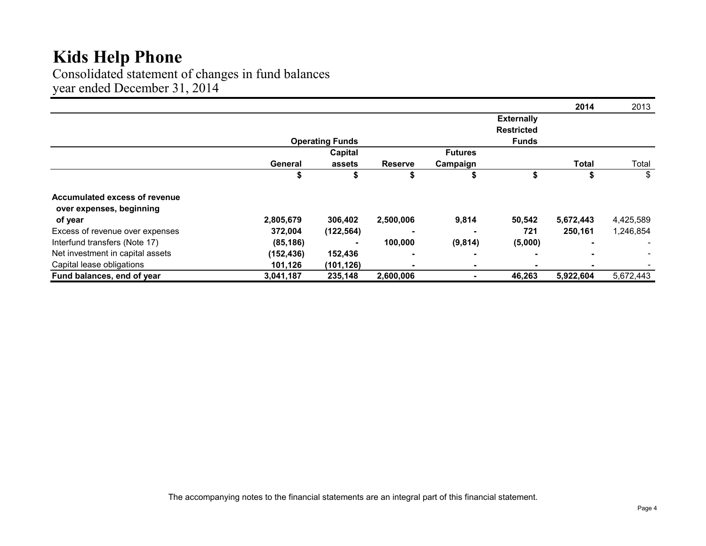Consolidated statement of changes in fund balances year ended December 31, 2014

|                                                           |            |                        |                |                |                   | 2014         | 2013      |
|-----------------------------------------------------------|------------|------------------------|----------------|----------------|-------------------|--------------|-----------|
|                                                           |            |                        |                |                | <b>Externally</b> |              |           |
|                                                           |            |                        |                |                | <b>Restricted</b> |              |           |
|                                                           |            | <b>Operating Funds</b> |                |                | <b>Funds</b>      |              |           |
|                                                           |            | Capital                |                | <b>Futures</b> |                   |              |           |
|                                                           | General    | assets                 | <b>Reserve</b> | Campaign       |                   | <b>Total</b> | Total     |
|                                                           | \$         |                        |                | \$             | \$                |              | \$        |
| Accumulated excess of revenue<br>over expenses, beginning |            |                        |                |                |                   |              |           |
| of year                                                   | 2,805,679  | 306,402                | 2,500,006      | 9,814          | 50,542            | 5,672,443    | 4,425,589 |
| Excess of revenue over expenses                           | 372,004    | (122, 564)             |                |                | 721               | 250,161      | 1,246,854 |
| Interfund transfers (Note 17)                             | (85, 186)  |                        | 100,000        | (9,814)        | (5,000)           |              |           |
| Net investment in capital assets                          | (152, 436) | 152,436                |                |                |                   |              |           |
| Capital lease obligations                                 | 101,126    | (101, 126)             |                |                |                   |              |           |
| Fund balances, end of year                                | 3,041,187  | 235,148                | 2,600,006      |                | 46,263            | 5,922,604    | 5,672,443 |

The accompanying notes to the financial statements are an integral part of this financial statement.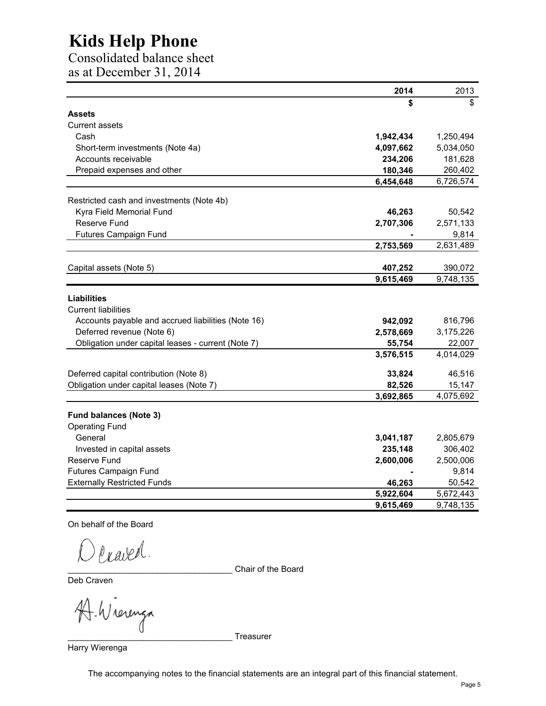Consolidated balance sheet

as at December 31, 2014

|                                                    | 2014                | 2013                |
|----------------------------------------------------|---------------------|---------------------|
|                                                    | S                   | \$                  |
| <b>Assets</b>                                      |                     |                     |
| <b>Current assets</b>                              |                     |                     |
| Cash                                               | 1,942,434           | 1,250,494           |
| Short-term investments (Note 4a)                   | 4,097,662           | 5,034,050           |
| Accounts receivable                                | 234,206             | 181,628             |
| Prepaid expenses and other                         | 180,346             | 260,402             |
|                                                    | 6,454,648           | 6,726,574           |
| Restricted cash and investments (Note 4b)          |                     |                     |
| Kyra Field Memorial Fund                           | 46,263              | 50,542              |
| <b>Reserve Fund</b>                                | 2,707,306           | 2,571,133           |
| Futures Campaign Fund                              |                     | 9,814               |
|                                                    | 2,753,569           | 2,631,489           |
|                                                    |                     |                     |
| Capital assets (Note 5)                            | 407,252             | 390,072             |
|                                                    | 9,615,469           | 9,748,135           |
| <b>Liabilities</b>                                 |                     |                     |
| <b>Current liabilities</b>                         |                     |                     |
| Accounts payable and accrued liabilities (Note 16) | 942,092             | 816,796             |
| Deferred revenue (Note 6)                          | 2,578,669           | 3,175,226           |
| Obligation under capital leases - current (Note 7) | 55,754              | 22,007              |
|                                                    | 3,576,515           | 4,014,029           |
| Deferred capital contribution (Note 8)             | 33,824              | 46,516              |
| Obligation under capital leases (Note 7)           | 82,526              | 15,147              |
|                                                    | 3,692,865           | 4,075,692           |
|                                                    |                     |                     |
| <b>Fund balances (Note 3)</b>                      |                     |                     |
| <b>Operating Fund</b>                              |                     |                     |
| General                                            | 3,041,187           | 2,805,679           |
| Invested in capital assets                         | 235,148             | 306,402             |
| Reserve Fund<br>Futures Campaign Fund              | 2,600,006           | 2,500,006<br>9,814  |
|                                                    |                     |                     |
| <b>Externally Restricted Funds</b>                 | 46,263<br>5,922,604 | 50,542<br>5,672,443 |
|                                                    | 9,615,469           | 9,748,135           |
|                                                    |                     |                     |

On behalf of the Board

exaved.

Deb Craven

A. Wierings

\_\_\_\_\_\_\_\_\_\_\_\_\_\_\_\_\_\_\_\_\_\_\_\_\_\_\_\_\_\_\_\_\_\_\_ Treasurer

Harry Wierenga

The accompanying notes to the financial statements are an integral part of this financial statement.

\_\_\_\_\_\_\_\_\_\_\_\_\_\_\_\_\_\_\_\_\_\_\_\_\_\_\_\_\_\_\_\_\_\_\_ Chair of the Board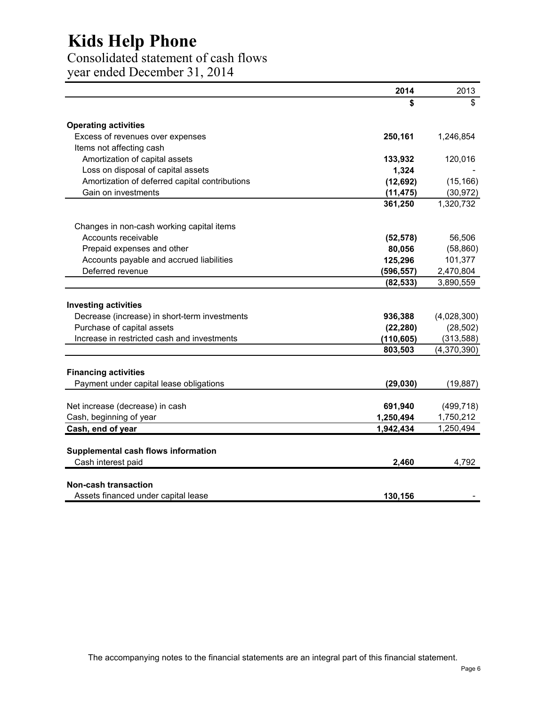Consolidated statement of cash flows

year ended December 31, 2014

|                                                | 2014       | 2013        |
|------------------------------------------------|------------|-------------|
|                                                | \$         | \$          |
| <b>Operating activities</b>                    |            |             |
| Excess of revenues over expenses               | 250,161    | 1,246,854   |
| Items not affecting cash                       |            |             |
| Amortization of capital assets                 | 133,932    | 120,016     |
| Loss on disposal of capital assets             | 1,324      |             |
| Amortization of deferred capital contributions | (12, 692)  | (15, 166)   |
| Gain on investments                            | (11, 475)  | (30, 972)   |
|                                                | 361,250    | 1,320,732   |
| Changes in non-cash working capital items      |            |             |
| Accounts receivable                            | (52, 578)  | 56,506      |
| Prepaid expenses and other                     | 80,056     | (58, 860)   |
| Accounts payable and accrued liabilities       | 125,296    | 101,377     |
| Deferred revenue                               | (596, 557) | 2,470,804   |
|                                                | (82, 533)  | 3,890,559   |
| <b>Investing activities</b>                    |            |             |
| Decrease (increase) in short-term investments  | 936,388    | (4,028,300) |
| Purchase of capital assets                     | (22, 280)  | (28, 502)   |
| Increase in restricted cash and investments    | (110, 605) | (313,588)   |
|                                                | 803,503    | (4,370,390) |
| <b>Financing activities</b>                    |            |             |
| Payment under capital lease obligations        | (29, 030)  | (19, 887)   |
| Net increase (decrease) in cash                | 691,940    | (499, 718)  |
| Cash, beginning of year                        | 1,250,494  | 1,750,212   |
| Cash, end of year                              | 1,942,434  | 1,250,494   |
|                                                |            |             |
| Supplemental cash flows information            | 2.460      | 4,792       |
| Cash interest paid                             |            |             |
| <b>Non-cash transaction</b>                    |            |             |
| Assets financed under capital lease            | 130,156    |             |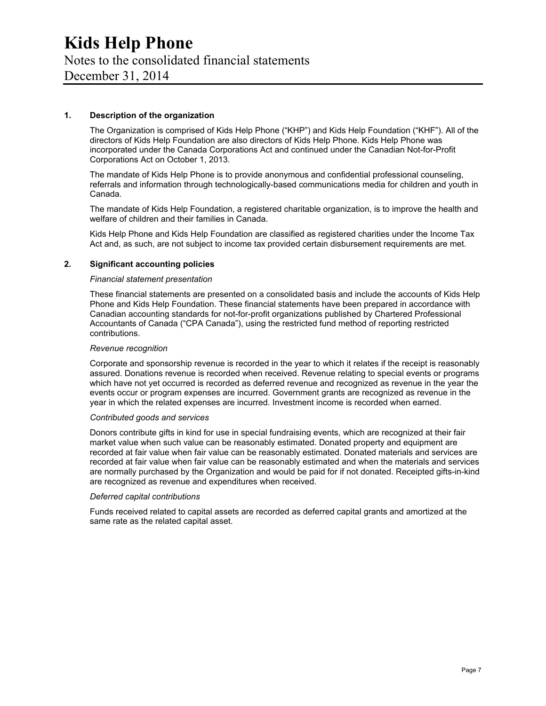### **Kids Help Phone**  Notes to the consolidated financial statements December 31, 2014

#### **1. Description of the organization**

The Organization is comprised of Kids Help Phone ("KHP") and Kids Help Foundation ("KHF"). All of the directors of Kids Help Foundation are also directors of Kids Help Phone. Kids Help Phone was incorporated under the Canada Corporations Act and continued under the Canadian Not-for-Profit Corporations Act on October 1, 2013.

The mandate of Kids Help Phone is to provide anonymous and confidential professional counseling, referrals and information through technologically-based communications media for children and youth in Canada.

The mandate of Kids Help Foundation, a registered charitable organization, is to improve the health and welfare of children and their families in Canada.

Kids Help Phone and Kids Help Foundation are classified as registered charities under the Income Tax Act and, as such, are not subject to income tax provided certain disbursement requirements are met.

#### **2. Significant accounting policies**

#### *Financial statement presentation*

These financial statements are presented on a consolidated basis and include the accounts of Kids Help Phone and Kids Help Foundation. These financial statements have been prepared in accordance with Canadian accounting standards for not-for-profit organizations published by Chartered Professional Accountants of Canada ("CPA Canada"), using the restricted fund method of reporting restricted contributions.

#### *Revenue recognition*

Corporate and sponsorship revenue is recorded in the year to which it relates if the receipt is reasonably assured. Donations revenue is recorded when received. Revenue relating to special events or programs which have not yet occurred is recorded as deferred revenue and recognized as revenue in the year the events occur or program expenses are incurred. Government grants are recognized as revenue in the year in which the related expenses are incurred. Investment income is recorded when earned.

#### *Contributed goods and services*

Donors contribute gifts in kind for use in special fundraising events, which are recognized at their fair market value when such value can be reasonably estimated. Donated property and equipment are recorded at fair value when fair value can be reasonably estimated. Donated materials and services are recorded at fair value when fair value can be reasonably estimated and when the materials and services are normally purchased by the Organization and would be paid for if not donated. Receipted gifts-in-kind are recognized as revenue and expenditures when received.

#### *Deferred capital contributions*

Funds received related to capital assets are recorded as deferred capital grants and amortized at the same rate as the related capital asset.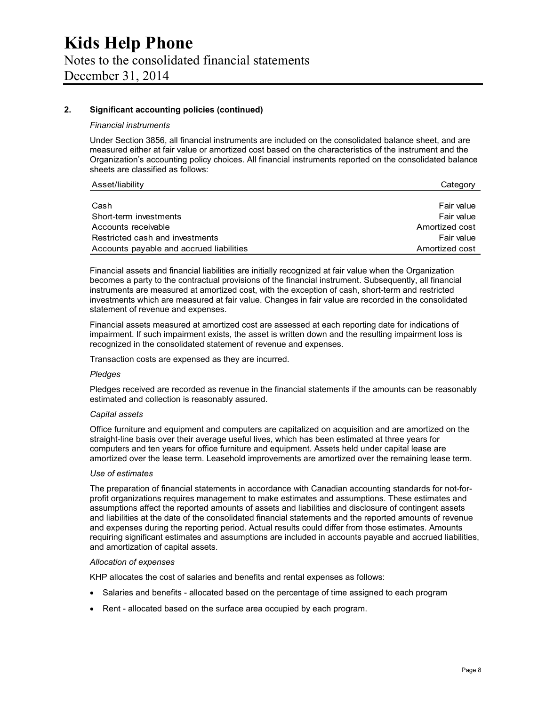#### **2. Significant accounting policies (continued)**

#### *Financial instruments*

Under Section 3856, all financial instruments are included on the consolidated balance sheet, and are measured either at fair value or amortized cost based on the characteristics of the instrument and the Organization's accounting policy choices. All financial instruments reported on the consolidated balance sheets are classified as follows:

| Asset/liability                          | Category       |
|------------------------------------------|----------------|
|                                          |                |
| Cash                                     | Fair value     |
| Short-term investments                   | Fair value     |
| Accounts receivable                      | Amortized cost |
| Restricted cash and investments          | Fair value     |
| Accounts payable and accrued liabilities | Amortized cost |

Financial assets and financial liabilities are initially recognized at fair value when the Organization becomes a party to the contractual provisions of the financial instrument. Subsequently, all financial instruments are measured at amortized cost, with the exception of cash, short-term and restricted investments which are measured at fair value. Changes in fair value are recorded in the consolidated statement of revenue and expenses.

Financial assets measured at amortized cost are assessed at each reporting date for indications of impairment. If such impairment exists, the asset is written down and the resulting impairment loss is recognized in the consolidated statement of revenue and expenses.

Transaction costs are expensed as they are incurred.

#### *Pledges*

Pledges received are recorded as revenue in the financial statements if the amounts can be reasonably estimated and collection is reasonably assured.

#### *Capital assets*

Office furniture and equipment and computers are capitalized on acquisition and are amortized on the straight-line basis over their average useful lives, which has been estimated at three years for computers and ten years for office furniture and equipment. Assets held under capital lease are amortized over the lease term. Leasehold improvements are amortized over the remaining lease term.

#### *Use of estimates*

The preparation of financial statements in accordance with Canadian accounting standards for not-forprofit organizations requires management to make estimates and assumptions. These estimates and assumptions affect the reported amounts of assets and liabilities and disclosure of contingent assets and liabilities at the date of the consolidated financial statements and the reported amounts of revenue and expenses during the reporting period. Actual results could differ from those estimates. Amounts requiring significant estimates and assumptions are included in accounts payable and accrued liabilities, and amortization of capital assets.

#### *Allocation of expenses*

KHP allocates the cost of salaries and benefits and rental expenses as follows:

- Salaries and benefits allocated based on the percentage of time assigned to each program
- Rent allocated based on the surface area occupied by each program.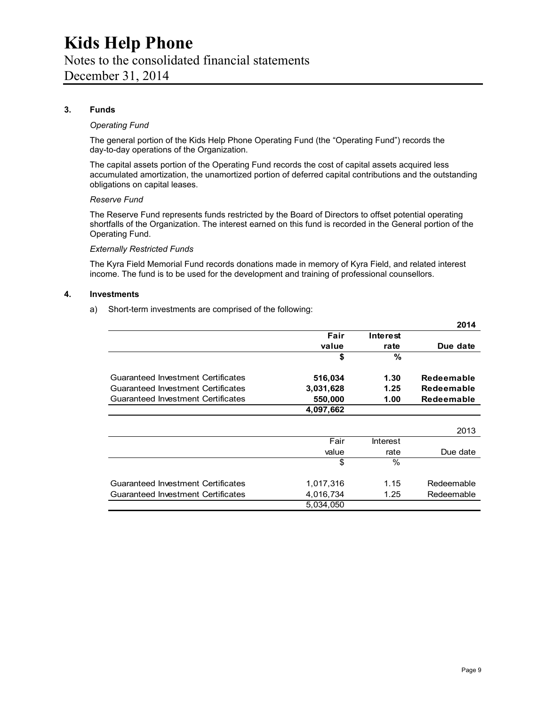# Notes to the consolidated financial statements

December 31, 2014

#### **3. Funds**

#### *Operating Fund*

The general portion of the Kids Help Phone Operating Fund (the "Operating Fund") records the day-to-day operations of the Organization.

The capital assets portion of the Operating Fund records the cost of capital assets acquired less accumulated amortization, the unamortized portion of deferred capital contributions and the outstanding obligations on capital leases.

#### *Reserve Fund*

The Reserve Fund represents funds restricted by the Board of Directors to offset potential operating shortfalls of the Organization. The interest earned on this fund is recorded in the General portion of the Operating Fund.

#### *Externally Restricted Funds*

The Kyra Field Memorial Fund records donations made in memory of Kyra Field, and related interest income. The fund is to be used for the development and training of professional counsellors.

#### **4. Investments**

a) Short-term investments are comprised of the following:

|                                    |           |          | 2014              |
|------------------------------------|-----------|----------|-------------------|
|                                    | Fair      | Interest |                   |
|                                    | value     | rate     | Due date          |
|                                    | \$        | %        |                   |
| Guaranteed Investment Certificates | 516,034   | 1.30     | <b>Redeemable</b> |
| Guaranteed Investment Certificates | 3,031,628 | 1.25     | <b>Redeemable</b> |
| Guaranteed Investment Certificates | 550,000   | 1.00     | <b>Redeemable</b> |
|                                    | 4,097,662 |          |                   |
|                                    |           |          |                   |
|                                    |           |          | 2013              |
|                                    | Fair      | Interest |                   |
|                                    | value     | rate     | Due date          |
|                                    | \$        | $\%$     |                   |
| Guaranteed Investment Certificates | 1,017,316 | 1.15     | Redeemable        |
| Guaranteed Investment Certificates |           | 1.25     | Redeemable        |
|                                    | 4,016,734 |          |                   |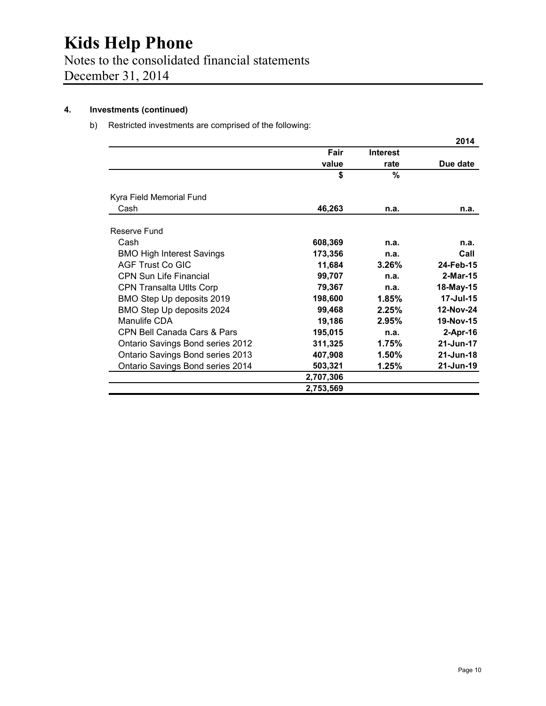Notes to the consolidated financial statements December 31, 2014

#### **4. Investments (continued)**

#### b) Restricted investments are comprised of the following:

|                                  |           |                 | 2014       |
|----------------------------------|-----------|-----------------|------------|
|                                  | Fair      | <b>Interest</b> |            |
|                                  | value     | rate            | Due date   |
|                                  | \$        | %               |            |
| Kyra Field Memorial Fund         |           |                 |            |
| Cash                             | 46,263    | n.a.            | n.a.       |
| Reserve Fund                     |           |                 |            |
| Cash                             | 608,369   | n.a.            | n.a.       |
| <b>BMO High Interest Savings</b> | 173,356   | n.a.            | Call       |
| <b>AGF Trust Co GIC</b>          | 11,684    | 3.26%           | 24-Feb-15  |
| <b>CPN Sun Life Financial</b>    | 99,707    | n.a.            | 2-Mar-15   |
| <b>CPN Transalta Utits Corp</b>  | 79,367    | n.a.            | 18-May-15  |
| BMO Step Up deposits 2019        | 198,600   | 1.85%           | 17-Jul-15  |
| BMO Step Up deposits 2024        | 99,468    | 2.25%           | 12-Nov-24  |
| Manulife CDA                     | 19,186    | 2.95%           | 19-Nov-15  |
| CPN Bell Canada Cars & Pars      | 195,015   | n.a.            | $2-Apr-16$ |
| Ontario Savings Bond series 2012 | 311,325   | 1.75%           | 21-Jun-17  |
| Ontario Savings Bond series 2013 | 407,908   | 1.50%           | 21-Jun-18  |
| Ontario Savings Bond series 2014 | 503,321   | 1.25%           | 21-Jun-19  |
|                                  | 2,707,306 |                 |            |
|                                  | 2,753,569 |                 |            |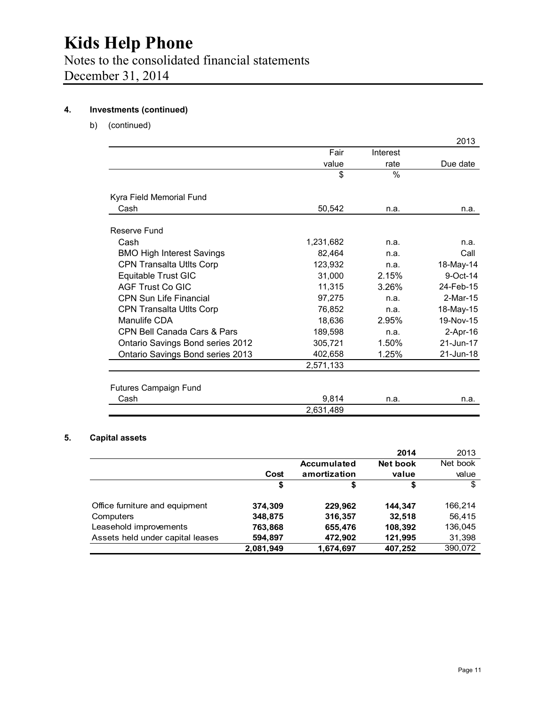Notes to the consolidated financial statements December 31, 2014

#### **4. Investments (continued)**

b) (continued)

|                                  |           |          | 2013        |
|----------------------------------|-----------|----------|-------------|
|                                  | Fair      | Interest |             |
|                                  | value     | rate     | Due date    |
|                                  | \$        | $\%$     |             |
| Kyra Field Memorial Fund         |           |          |             |
| Cash                             | 50,542    | n.a.     | n.a.        |
| Reserve Fund                     |           |          |             |
| Cash                             | 1,231,682 | n.a.     | n.a.        |
| <b>BMO High Interest Savings</b> | 82,464    | n.a.     | Call        |
| <b>CPN Transalta Utlts Corp</b>  | 123.932   | n.a.     | 18-May-14   |
| Equitable Trust GIC              | 31,000    | 2.15%    | $9$ -Oct-14 |
| AGF Trust Co GIC                 | 11,315    | 3.26%    | 24-Feb-15   |
| <b>CPN Sun Life Financial</b>    | 97.275    | n.a.     | $2-Mar-15$  |
| <b>CPN Transalta Utits Corp</b>  | 76.852    | n.a.     | 18-May-15   |
| Manulife CDA                     | 18,636    | 2.95%    | 19-Nov-15   |
| CPN Bell Canada Cars & Pars      | 189,598   | n.a.     | $2-Apr-16$  |
| Ontario Savings Bond series 2012 | 305,721   | 1.50%    | 21-Jun-17   |
| Ontario Savings Bond series 2013 | 402,658   | 1.25%    | 21-Jun-18   |
|                                  | 2,571,133 |          |             |
| <b>Futures Campaign Fund</b>     |           |          |             |
| Cash                             | 9,814     | n.a.     | n.a.        |
|                                  | 2,631,489 |          |             |

#### **5. Capital assets**

|                                  |           |              | 2014     | 2013     |
|----------------------------------|-----------|--------------|----------|----------|
|                                  |           | Accumulated  | Net book | Net book |
|                                  | Cost      | amortization | value    | value    |
|                                  | \$        | \$           | \$       | \$       |
| Office furniture and equipment   | 374,309   | 229,962      | 144.347  | 166.214  |
| Computers                        | 348,875   | 316,357      | 32.518   | 56,415   |
| Leasehold improvements           | 763,868   | 655,476      | 108,392  | 136,045  |
| Assets held under capital leases | 594,897   | 472,902      | 121,995  | 31,398   |
|                                  | 2,081,949 | 1,674,697    | 407,252  | 390,072  |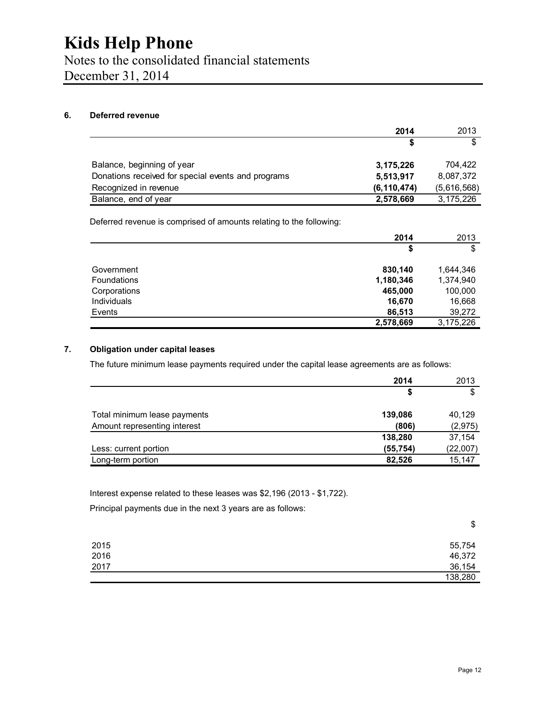Notes to the consolidated financial statements December 31, 2014

#### **6. Deferred revenue**

|                                                    | 2014          | 2013        |
|----------------------------------------------------|---------------|-------------|
|                                                    |               | \$          |
| Balance, beginning of year                         | 3,175,226     | 704.422     |
| Donations received for special events and programs | 5,513,917     | 8,087,372   |
| Recognized in revenue                              | (6, 110, 474) | (5,616,568) |
| Balance, end of year                               | 2,578,669     | 3,175,226   |

Deferred revenue is comprised of amounts relating to the following:

|                    | 2014      | 2013      |
|--------------------|-----------|-----------|
|                    | \$        | \$        |
| Government         | 830,140   | 1,644,346 |
| Foundations        | 1,180,346 | 1,374,940 |
| Corporations       | 465,000   | 100,000   |
| <b>Individuals</b> | 16,670    | 16,668    |
| Events             | 86,513    | 39,272    |
|                    | 2,578,669 | 3,175,226 |

#### **7. Obligation under capital leases**

The future minimum lease payments required under the capital lease agreements are as follows:

|                              | 2014      | 2013     |
|------------------------------|-----------|----------|
|                              |           |          |
| Total minimum lease payments | 139,086   | 40,129   |
| Amount representing interest | (806)     | (2,975)  |
|                              | 138,280   | 37,154   |
| Less: current portion        | (55, 754) | (22,007) |
| Long-term portion            | 82,526    | 15,147   |

Interest expense related to these leases was \$2,196 (2013 - \$1,722).

Principal payments due in the next 3 years are as follows:

|      | \$      |
|------|---------|
| 2015 | 55,754  |
| 2016 | 46,372  |
| 2017 | 36,154  |
|      | 138,280 |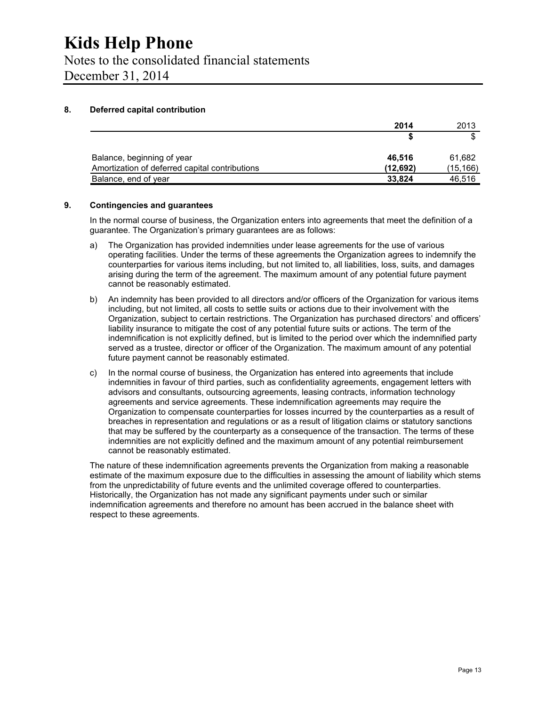Notes to the consolidated financial statements December 31, 2014

#### **8. Deferred capital contribution**

|                                                | 2014     | 2013     |
|------------------------------------------------|----------|----------|
|                                                |          |          |
| Balance, beginning of year                     | 46.516   | 61.682   |
| Amortization of deferred capital contributions | (12,692) | (15,166) |
| Balance, end of year                           | 33,824   | 46,516   |

#### **9. Contingencies and guarantees**

In the normal course of business, the Organization enters into agreements that meet the definition of a guarantee. The Organization's primary guarantees are as follows:

- a) The Organization has provided indemnities under lease agreements for the use of various operating facilities. Under the terms of these agreements the Organization agrees to indemnify the counterparties for various items including, but not limited to, all liabilities, loss, suits, and damages arising during the term of the agreement. The maximum amount of any potential future payment cannot be reasonably estimated.
- b) An indemnity has been provided to all directors and/or officers of the Organization for various items including, but not limited, all costs to settle suits or actions due to their involvement with the Organization, subject to certain restrictions. The Organization has purchased directors' and officers' liability insurance to mitigate the cost of any potential future suits or actions. The term of the indemnification is not explicitly defined, but is limited to the period over which the indemnified party served as a trustee, director or officer of the Organization. The maximum amount of any potential future payment cannot be reasonably estimated.
- c) In the normal course of business, the Organization has entered into agreements that include indemnities in favour of third parties, such as confidentiality agreements, engagement letters with advisors and consultants, outsourcing agreements, leasing contracts, information technology agreements and service agreements. These indemnification agreements may require the Organization to compensate counterparties for losses incurred by the counterparties as a result of breaches in representation and regulations or as a result of litigation claims or statutory sanctions that may be suffered by the counterparty as a consequence of the transaction. The terms of these indemnities are not explicitly defined and the maximum amount of any potential reimbursement cannot be reasonably estimated.

The nature of these indemnification agreements prevents the Organization from making a reasonable estimate of the maximum exposure due to the difficulties in assessing the amount of liability which stems from the unpredictability of future events and the unlimited coverage offered to counterparties. Historically, the Organization has not made any significant payments under such or similar indemnification agreements and therefore no amount has been accrued in the balance sheet with respect to these agreements.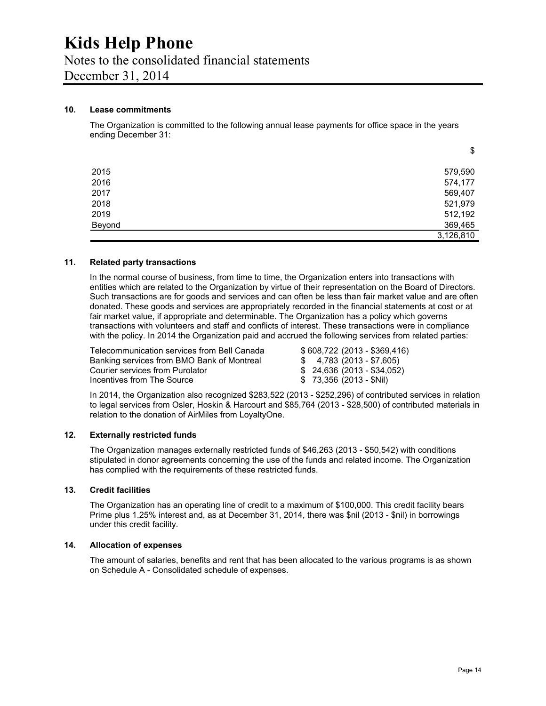### Notes to the consolidated financial statements

December 31, 2014

#### **10. Lease commitments**

The Organization is committed to the following annual lease payments for office space in the years ending December 31:

|        | $\mathbf{r}$ |
|--------|--------------|
| 2015   | 579,590      |
| 2016   | 574,177      |
| 2017   | 569,407      |
| 2018   | 521,979      |
| 2019   | 512,192      |
| Beyond | 369,465      |
|        | 3,126,810    |

#### **11. Related party transactions**

In the normal course of business, from time to time, the Organization enters into transactions with entities which are related to the Organization by virtue of their representation on the Board of Directors. Such transactions are for goods and services and can often be less than fair market value and are often donated. These goods and services are appropriately recorded in the financial statements at cost or at fair market value, if appropriate and determinable. The Organization has a policy which governs transactions with volunteers and staff and conflicts of interest. These transactions were in compliance with the policy. In 2014 the Organization paid and accrued the following services from related parties:

Telecommunication services from Bell Canada  $\begin{array}{r} 5608,722 \ (2013 - $369,416) \\ \end{array}$ <br>Banking services from BMO Bank of Montreal  $\begin{array}{r} 16466 & 2648 \\ 3646 & 2648 \end{array}$ Banking services from BMO Bank of Montreal Courier services from Purolator  $$ 24,636 (2013 - $34,052)$ Incentives from The Source  $$ 73,356 (2013 - $Nil)$ 

In 2014, the Organization also recognized \$283,522 (2013 - \$252,296) of contributed services in relation to legal services from Osler, Hoskin & Harcourt and \$85,764 (2013 - \$28,500) of contributed materials in relation to the donation of AirMiles from LoyaltyOne.

#### **12. Externally restricted funds**

The Organization manages externally restricted funds of \$46,263 (2013 - \$50,542) with conditions stipulated in donor agreements concerning the use of the funds and related income. The Organization has complied with the requirements of these restricted funds.

#### **13. Credit facilities**

The Organization has an operating line of credit to a maximum of \$100,000. This credit facility bears Prime plus 1.25% interest and, as at December 31, 2014, there was \$nil (2013 - \$nil) in borrowings under this credit facility.

#### **14. Allocation of expenses**

The amount of salaries, benefits and rent that has been allocated to the various programs is as shown on Schedule A - Consolidated schedule of expenses.

\$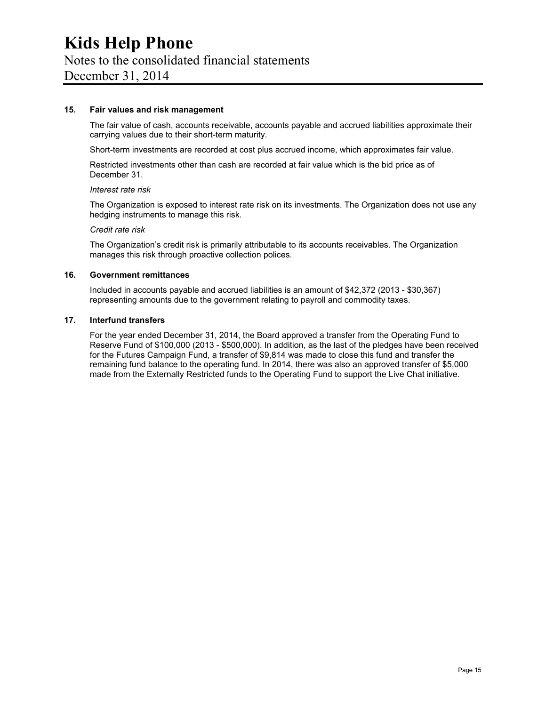### **Kids Help Phone**  Notes to the consolidated financial statements December 31, 2014

#### **15. Fair values and risk management**

The fair value of cash, accounts receivable, accounts payable and accrued liabilities approximate their carrying values due to their short-term maturity.

Short-term investments are recorded at cost plus accrued income, which approximates fair value.

Restricted investments other than cash are recorded at fair value which is the bid price as of December 31.

#### *Interest rate risk*

The Organization is exposed to interest rate risk on its investments. The Organization does not use any hedging instruments to manage this risk.

#### *Credit rate risk*

The Organization's credit risk is primarily attributable to its accounts receivables. The Organization manages this risk through proactive collection polices.

#### **16. Government remittances**

Included in accounts payable and accrued liabilities is an amount of \$42,372 (2013 - \$30,367) representing amounts due to the government relating to payroll and commodity taxes.

#### **17. Interfund transfers**

For the year ended December 31, 2014, the Board approved a transfer from the Operating Fund to Reserve Fund of \$100,000 (2013 - \$500,000). In addition, as the last of the pledges have been received for the Futures Campaign Fund, a transfer of \$9,814 was made to close this fund and transfer the remaining fund balance to the operating fund. In 2014, there was also an approved transfer of \$5,000 made from the Externally Restricted funds to the Operating Fund to support the Live Chat initiative.